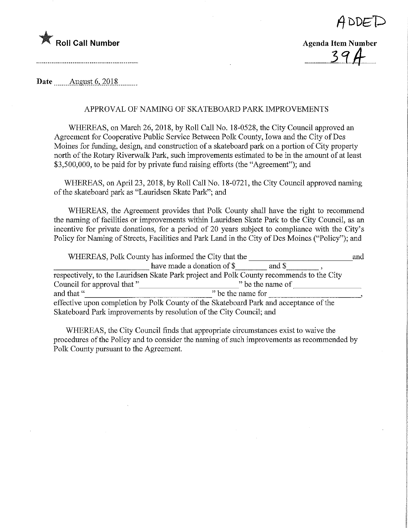



 $\frac{1}{2}$ <br> $\frac{1}{2}$   $\frac{1}{2}$ 

Date ........Augyst.6,.2018,

## APPROVAL OF NAMING OF SKATEBOARD PARK IMPROVEMENTS

WHEREAS, on March 26, 2018, by Roll Call No. 18-0528, the City Council approved an Agreement for Cooperative Public Service Between Polk County, Iowa and the City of Des Moines for funding, design, and construction of a skateboard park on a portion of City property north of the Rotary Riverwalk Park, such improvements estimated to be in the amount of at least \$3,500,000, to be paid for by private fund raising efforts (the "Agreement"); and

WHEREAS, on April 23, 2018, by Roll Call No. 18-0721, the City Council approved naming of the skateboard park as "Lauridsen Skate Park"; and

WHEREAS, the Agreement provides that Polk County shall have the right to recommend the naming of facilities or improvements within Lauridsen Skate Park to the City Council, as an incentive for private donations, for a period of 20 years subject to compliance with the City's Policy for Naming of Streets, Facilities and Park Land in the City of Des Moines ("Policy"); and

| WHEREAS, Polk County has informed the City that the                                      |                                      |  |  |  |  |  |  |
|------------------------------------------------------------------------------------------|--------------------------------------|--|--|--|--|--|--|
|                                                                                          | have made a donation of \$<br>and \$ |  |  |  |  |  |  |
| respectively, to the Lauridsen Skate Park project and Polk County recommends to the City |                                      |  |  |  |  |  |  |
| Council for approval that "                                                              | " be the name of                     |  |  |  |  |  |  |
| and that "                                                                               | " be the name for                    |  |  |  |  |  |  |
| effective upon completion by Polk County of the Skateboard Park and acceptance of the    |                                      |  |  |  |  |  |  |
| Skateboard Park improvements by resolution of the City Council; and                      |                                      |  |  |  |  |  |  |

WHEREAS, the City Council finds that appropriate circumstances exist to waive the procedures of the Policy and to consider the naming of such improvements as recommended by Polk County pursuant to the Agreement